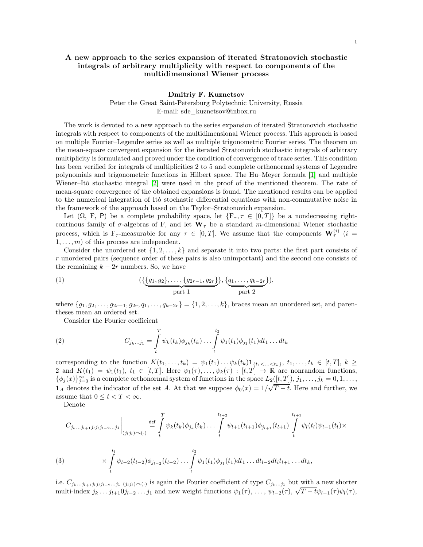## Dmitriy F. Kuznetsov

Peter the Great Saint-Petersburg Polytechnic University, Russia E-mail: sde\_kuznetsov@inbox.ru

The work is devoted to a new approach to the series expansion of iterated Stratonovich stochastic integrals with respect to components of the multidimensional Wiener process. This approach is based on multiple Fourier–Legendre series as well as multiple trigonometric Fourier series. The theorem on the mean-square convergent expansion for the iterated Stratonovich stochastic integrals of arbitrary multiplicity is formulated and proved under the condition of convergence of trace series. This condition has been verified for integrals of multiplicities 2 to 5 and complete orthonormal systems of Legendre polynomials and trigonometric functions in Hilbert space. The Hu–Meyer formula [\[1\]](#page-3-0) and multiple Wiener–Itô stochastic integral [\[2\]](#page-3-1) were used in the proof of the mentioned theorem. The rate of mean-square convergence of the obtained expansions is found. The mentioned results can be applied to the numerical integration of Itô stochastic differential equations with non-commutative noise in the framework of the approach based on the Taylor–Stratonovich expansion.

Let  $(\Omega, F, P)$  be a complete probability space, let  ${F_\tau, \tau \in [0, T]}$  be a nondecreasing rightcontinous family of  $\sigma$ -algebras of F, and let  $\mathbf{W}_{\tau}$  be a standard m-dimensional Wiener stochastic process, which is  $F_\tau$ -measurable for any  $\tau \in [0,T]$ . We assume that the components  $\mathbf{W}_{\tau}^{(i)}$  (i =  $1, \ldots, m$  of this process are independent.

Consider the unordered set  $\{1, 2, \ldots, k\}$  and separate it into two parts: the first part consists of r unordered pairs (sequence order of these pairs is also unimportant) and the second one consists of the remaining  $k - 2r$  numbers. So, we have

<span id="page-0-0"></span>(1) 
$$
(\{\underline{\{g_1, g_2\}, \ldots, \{g_{2r-1}, g_{2r}\}\}, \{\underline{q_1, \ldots, q_{k-2r}}\}\}, \text{ and } \underline{\text{part } 1})
$$

where  $\{g_1, g_2, \ldots, g_{2r-1}, g_{2r}, q_1, \ldots, q_{k-2r}\} = \{1, 2, \ldots, k\}$ , braces mean an unordered set, and parentheses mean an ordered set.

<span id="page-0-1"></span>Consider the Fourier coefficient

(2) 
$$
C_{j_k...j_1} = \int\limits_t^T \psi_k(t_k) \phi_{j_k}(t_k) \dots \int\limits_t^{t_2} \psi_1(t_1) \phi_{j_1}(t_1) dt_1 \dots dt_k
$$

corresponding to the function  $K(t_1, \ldots, t_k) = \psi_1(t_1) \ldots \psi_k(t_k) \mathbf{1}_{\{t_1 < \ldots < t_k\}}, t_1, \ldots, t_k \in [t, T], k \geq$ 2 and  $K(t_1) = \psi_1(t_1)$ ,  $t_1 \in [t, T]$ . Here  $\psi_1(\tau), \ldots, \psi_k(\tau) : [t, T] \to \mathbb{R}$  are nonrandom functions,  $\{\phi_j(x)\}_{j=0}^{\infty}$  is a complete orthonormal system of functions in the space  $L_2([t,T]), j_1, \ldots, j_k = 0, 1, \ldots,$ 1A denotes the indicator of the set A. At that we suppose  $\phi_0(x) = 1/\sqrt{T-t}$ . Here and further, we assume that  $0 \leq t < T < \infty$ .

Denote

$$
C_{j_k...j_{l+1}j_lj_lj_{l-2}...j_1}\Big|_{(j_lj_l)\sim(\cdot)} \stackrel{\text{def}}{=} \int_t^T \psi_k(t_k)\phi_{j_k}(t_k)...\int_t^{t_{l+2}} \psi_{l+1}(t_{l+1})\phi_{j_{l+1}}(t_{l+1})\int_t^{t_{l+1}} \psi_l(t_l)\psi_{l-1}(t_l)\times
$$
\n(3)\n
$$
\times \int_t^{t_l} \psi_{l-2}(t_{l-2})\phi_{j_{l-2}}(t_{l-2})...\int_t^{t_2} \psi_1(t_1)\phi_{j_1}(t_1)dt_1...dt_{l-2}dt_lt_{l+1}...dt_k,
$$

i.e.  $C_{j_k...j_{l+1}j_lj_lj_{l-2}...j_1}|_{(j_lj_l)\frown(.)}$  is again the Fourier coefficient of type  $C_{j_k...j_1}$  but with a new shorter multi-index  $j_k \dots j_{l+1} 0 j_{l-2} \dots j_1$  and new weight functions  $\psi_1(\tau), \dots, \psi_{l-2}(\tau), \sqrt{T-t} \psi_{l-1}(\tau) \psi_l(\tau)$ ,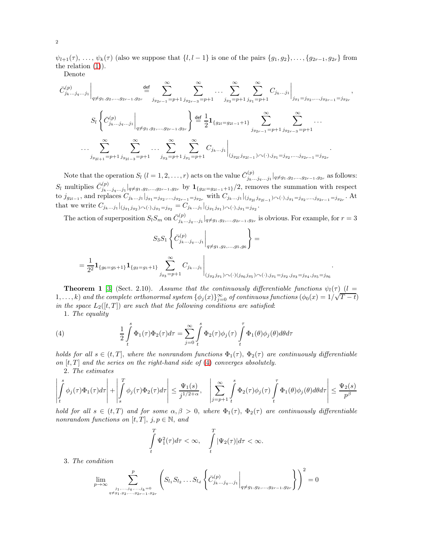$\psi_{l+1}(\tau), \ldots, \psi_k(\tau)$  (also we suppose that  $\{l, l-1\}$  is one of the pairs  $\{g_1, g_2\}, \ldots, \{g_{2r-1}, g_{2r}\}$  from the relation [\(1\)](#page-0-0)).

Denote

$$
\bar{C}_{j_k...j_q...j_1}^{(p)}\Big|_{q\neq g_1,g_2,...,g_{2r-1},g_{2r}} \underbrace{\stackrel{\text{def}}{=} \sum_{j_{g_{2r-1}}=p+1}^{\infty} \sum_{j_{g_{2r-3}}=p+1}^{\infty} \dots \sum_{j_{g_3}=p+1}^{\infty} \sum_{j_{g_1}=p+1}^{\infty} C_{j_k...j_1}\Big|_{g_{j_1}=j_{g_2},...,j_{g_{2r-1}}=j_{g_{2r}}},
$$
\n
$$
S_l \left\{ \bar{C}_{j_k...j_q...j_1}^{(p)}\Big|_{q\neq g_1,g_2,...,g_{2r-1},g_{2r}} \right\} \stackrel{\text{def}}{=} \frac{1}{2} \mathbf{1}_{\{g_{2l}=g_{2l-1}+1\}} \sum_{j_{g_{2r-1}}=p+1}^{\infty} \sum_{j_{g_{2r-3}}=p+1}^{\infty} \dots \dots
$$
\n
$$
\dots \sum_{j_{g_{2l+1}}=p+1}^{\infty} \sum_{j_{g_{2l-3}}=p+1}^{\infty} \dots \sum_{j_{g_3}=p+1}^{\infty} \sum_{j_{g_1}=p+1}^{\infty} C_{j_k...j_1} \Big|_{(j_{g_{2l}}j_{g_{2l-1}})\cap(\cdot),j_{g_1}=j_{g_2},...,j_{g_{2r-1}}=j_{g_{2r}}}.
$$

Note that the operation  $S_l$   $(l = 1, 2, \ldots, r)$  acts on the value  $\bar{C}_{i_k}^{(p)}$ .  $\int_{j_k...j_q...j_1}^{(p)} |q \neq g_1,g_2,...,g_{2r-1},g_{2r}$  as follows:  $S_l$  multiplies  $\bar{C}_{j_k...j_q...j_1}^{(p)}|_{q\neq g_1,g_2,...,g_{2r-1},g_{2r}}$  by  $\mathbf{1}_{\{g_{2l}=g_{2l-1}+1\}}/2$ , removes the summation with respect to  $j_{g_{2l-1}}$ , and replaces  $C_{j_k...j_1}|_{j_{g_1}=j_{g_2},...,j_{g_{2r-1}}=j_{g_{2r}}}$  with  $C_{j_k...j_1}|_{(j_{g_{2l}}j_{g_{2l-1}})\curvearrowright (.) ,j_{g_1}=j_{g_2},...,j_{g_{2r-1}}=j_{g_{2r}}}$ . At that we write  $C_{j_k...j_1}|_{(j_{g_1}j_{g_2})\sim(.),j_{g_1}=j_{g_2}}=C_{j_k...j_1}|_{(j_{g_1}j_{g_1})\sim(.),j_{g_1}=j_{g_2}}.$ 

The action of superposition  $S_l S_m$  on  $\bar{C}_{j_k...j_q...j_1}^{(p)}|_{q\neq g_1,g_2,...,g_{2r-1},g_{2r}}$  is obvious. For example, for  $r=3$ 

.

$$
S_3 S_1 \left\{ \bar{C}_{j_k...j_q...j_1}^{(p)} \Bigg|_{q \neq g_1, g_2,...,g_5,g_6} \right\} =
$$
  
= 
$$
\frac{1}{2^2} \mathbf{1}_{\{g_6 = g_5 + 1\}} \mathbf{1}_{\{g_2 = g_1 + 1\}} \sum_{j_{g_3} = p+1}^{\infty} C_{j_k...j_1} \Bigg|_{(j_{g_2}j_{g_1}) \curvearrowright (\cdot)(j_{g_6}j_{g_5}) \curvearrowright (\cdot), j_{g_1} = j_{g_2}, j_{g_3} = j_{g_4}, j_{g_5} = j_{g_6}}
$$

**Theorem 1** [\[3\]](#page-3-2) (Sect. 2.10). Assume that the continuously differentiable functions  $\psi_l(\tau)$  (l = 1,..., k) and the complete orthonormal system  $\{\phi_j(x)\}_{j=0}^{\infty}$  of continuous functions  $(\phi_0(x) = 1/\sqrt{T-t})$ in the space  $L_2([t,T])$  are such that the following conditions are satisfied:

<span id="page-1-0"></span>1. The equality

(4) 
$$
\frac{1}{2} \int_{t}^{s} \Phi_1(\tau) \Phi_2(\tau) d\tau = \sum_{j=0}^{\infty} \int_{t}^{s} \Phi_2(\tau) \phi_j(\tau) \int_{t}^{\tau} \Phi_1(\theta) \phi_j(\theta) d\theta d\tau
$$

holds for all  $s \in (t, T]$ , where the nonrandom functions  $\Phi_1(\tau)$ ,  $\Phi_2(\tau)$  are continuously differentiable on  $[t, T]$  and the series on the right-hand side of [\(4\)](#page-1-0) converges absolutely.

2. The estimates

$$
\left| \int_{t}^{s} \phi_{j}(\tau) \Phi_{1}(\tau) d\tau \right| + \left| \int_{s}^{T} \phi_{j}(\tau) \Phi_{2}(\tau) d\tau \right| \leq \frac{\Psi_{1}(s)}{j^{1/2+\alpha}}, \quad \left| \sum_{j=p+1}^{\infty} \int_{t}^{s} \Phi_{2}(\tau) \phi_{j}(\tau) \int_{t}^{\tau} \Phi_{1}(\theta) \phi_{j}(\theta) d\theta d\tau \right| \leq \frac{\Psi_{2}(s)}{p^{\beta}}
$$

hold for all  $s \in (t,T)$  and for some  $\alpha, \beta > 0$ , where  $\Phi_1(\tau)$ ,  $\Phi_2(\tau)$  are continuously differentiable nonrandom functions on [t, T],  $j, p \in \mathbb{N}$ , and

$$
\int\limits_t^T \Psi_1^2(\tau)d\tau < \infty, \quad \int\limits_t^T |\Psi_2(\tau)|d\tau < \infty.
$$

3. The condition

$$
\lim_{p \to \infty} \sum_{\substack{j_1, \dots, j_q, \dots, j_k = 0 \\ q \neq g_1, g_2, \dots, g_{2r-1}, g_{2r}}} \left( S_{l_1} S_{l_2} \dots S_{l_d} \left\{ \bar{C}_{j_k \dots j_q \dots j_1}^{(p)} \middle|_{q \neq g_1, g_2, \dots, g_{2r-1}, g_{2r}} \right\} \right)^2 = 0
$$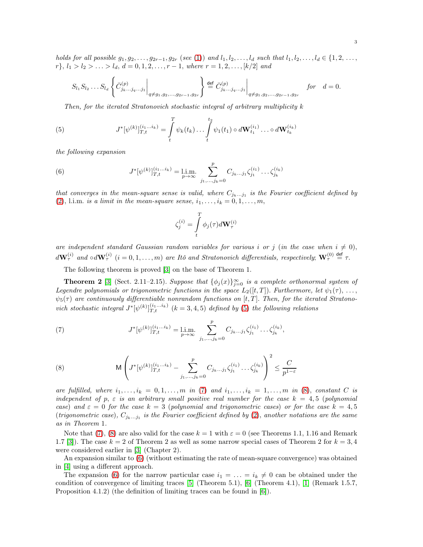holds for all possible  $g_1, g_2, \ldots, g_{2r-1}, g_{2r}$  (see [\(1\)](#page-0-0)) and  $l_1, l_2, \ldots, l_d$  such that  $l_1, l_2, \ldots, l_d \in \{1, 2, \ldots, l_d\}$  $r$ },  $l_1 > l_2 > \ldots > l_d$ ,  $d = 0, 1, 2, \ldots, r - 1$ , where  $r = 1, 2, \ldots, [k/2]$  and

$$
S_{l_1} S_{l_2} \dots S_{l_d} \left\{ \bar{C}_{j_k \dots j_q \dots j_1}^{(p)} \middle|_{q \neq g_1, g_2, \dots, g_{2r-1}, g_{2r}} \right\} \stackrel{\text{def}}{=} \bar{C}_{j_k \dots j_q \dots j_1}^{(p)} \middle|_{q \neq g_1, g_2, \dots, g_{2r-1}, g_{2r}} \quad \text{for} \quad d = 0.
$$

<span id="page-2-0"></span>Then, for the iterated Stratonovich stochastic integral of arbitrary multiplicity k

(5) 
$$
J^*[\psi^{(k)}]_{T,t}^{(i_1...i_k)} = \int\limits_t^T \psi_k(t_k) \dots \int\limits_t^{t_2} \psi_1(t_1) \circ d\mathbf{W}_{t_1}^{(i_1)} \dots \circ d\mathbf{W}_{t_k}^{(i_k)}
$$

the following expansion

(6) 
$$
J^*[\psi^{(k)}]_{T,t}^{(i_1...i_k)} = \lim_{p \to \infty} \sum_{j_1,...,j_k=0}^p C_{j_k...j_1} \zeta_{j_1}^{(i_1)} \dots \zeta_{j_k}^{(i_k)}
$$

that converges in the mean-square sense is valid, where  $C_{j_k...j_1}$  is the Fourier coefficient defined by [\(2\)](#page-0-1), l.i.m. is a limit in the mean-square sense,  $i_1, \ldots, i_k = 0, 1, \ldots, m$ ,

<span id="page-2-3"></span>
$$
\zeta_j^{(i)} = \int\limits_t^T \phi_j(\tau) d\mathbf{W}_\tau^{(i)}
$$

are independent standard Gaussian random variables for various i or j (in the case when  $i \neq 0$ ),  $d\mathbf{W}_{\tau}^{(i)}$  and  $\circ d\mathbf{W}_{\tau}^{(i)}$   $(i = 0, 1, ..., m)$  are Itô and Stratonovich differentials, respectively;  $\mathbf{W}_{\tau}^{(0)} \stackrel{\text{def}}{=} \tau$ .

The following theorem is proved [\[3\]](#page-3-2) on the base of Theorem 1.

**Theorem 2** [\[3\]](#page-3-2) (Sect. 2.11–2.15). Suppose that  $\{\phi_j(x)\}_{j=0}^{\infty}$  is a complete orthonormal system of Legendre polynomials or trigonometric functions in the space  $L_2([t,T])$ . Furthermore, let  $\psi_1(\tau), \ldots,$  $\psi_5(\tau)$  are continuously differentiable nonrandom functions on [t, T]. Then, for the iterated Stratonovich stochastic integral  $J^*[\psi^{(k)}]_{T,t}^{(i_1...i_k)}$   $(k = 3, 4, 5)$  defined by [\(5\)](#page-2-0) the following relations

<span id="page-2-1"></span>(7) 
$$
J^*[\psi^{(k)}]_{T,t}^{(i_1...i_k)} = \lim_{p \to \infty} \sum_{j_1,...,j_k=0}^p C_{j_k...j_1} \zeta_{j_1}^{(i_1)} \dots \zeta_{j_k}^{(i_k)},
$$

<span id="page-2-2"></span>(8) 
$$
\mathsf{M}\left(J^{*}[\psi^{(k)}]_{T,t}^{(i_1...i_k)} - \sum_{j_1,...,j_k=0}^{p} C_{j_k...j_1} \zeta_{j_1}^{(i_1)} \dots \zeta_{j_k}^{(i_k)}\right)^2 \leq \frac{C}{p^{1-\varepsilon}}
$$

are fulfilled, where  $i_1, \ldots, i_k = 0, 1, \ldots, m$  in [\(7\)](#page-2-1) and  $i_1, \ldots, i_k = 1, \ldots, m$  in [\(8\)](#page-2-2), constant C is independent of p,  $\varepsilon$  is an arbitrary small positive real number for the case  $k = 4, 5$  (polynomial) case) and  $\varepsilon = 0$  for the case  $k = 3$  (polynomial and trigonometric cases) or for the case  $k = 4,5$ (trigonometric case),  $C_{j_k...j_1}$  is the Fourier coefficient defined by [\(2\)](#page-0-1), another notations are the same as in Theorem 1.

Note that [\(7\)](#page-2-1), [\(8\)](#page-2-2) are also valid for the case  $k = 1$  with  $\varepsilon = 0$  (see Theorems 1.1, 1.16 and Remark 1.7 [\[3\]](#page-3-2)). The case  $k = 2$  of Theorem 2 as well as some narrow special cases of Theorem 2 for  $k = 3, 4$ were considered earlier in [\[3\]](#page-3-2) (Chapter 2).

An expansion similar to [\(6\)](#page-2-3) (without estimating the rate of mean-square convergence) was obtained in [\[4\]](#page-3-3) using a different approach.

The expansion [\(6\)](#page-2-3) for the narrow particular case  $i_1 = \ldots = i_k \neq 0$  can be obtained under the condition of convergence of limiting traces [\[5\]](#page-3-4) (Theorem 5.1), [\[6\]](#page-3-5) (Theorem 4.1), [\[1\]](#page-3-0) (Remark 1.5.7, Proposition 4.1.2) (the definition of limiting traces can be found in [\[6\]](#page-3-5)).